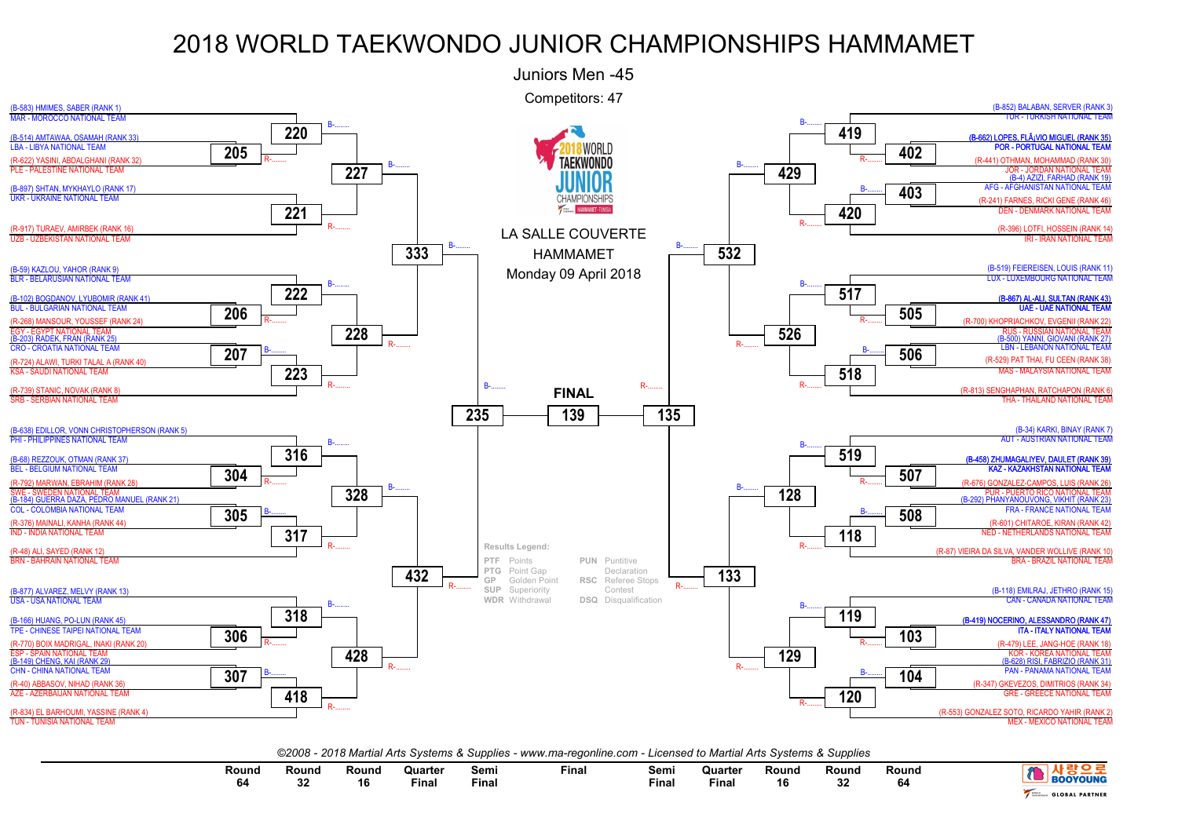

*©2008 - 2018 Martial Arts Systems & Supplies - www.ma-regonline.com - Licensed to Martial Arts Systems & Supplies*

| Round<br>04 | Round<br><b>Artist</b> | Round<br>16 | Quarter<br>Final | Semi<br>Fina. | Final | Semi<br><b>Final</b> | Quarter<br>Final | Round<br>16 | Round<br>00<br>32 | Round<br>O4 | <b>OYOUNG</b>         |
|-------------|------------------------|-------------|------------------|---------------|-------|----------------------|------------------|-------------|-------------------|-------------|-----------------------|
|             |                        |             |                  |               |       |                      |                  |             |                   |             | <b>GLOBAL PARTNER</b> |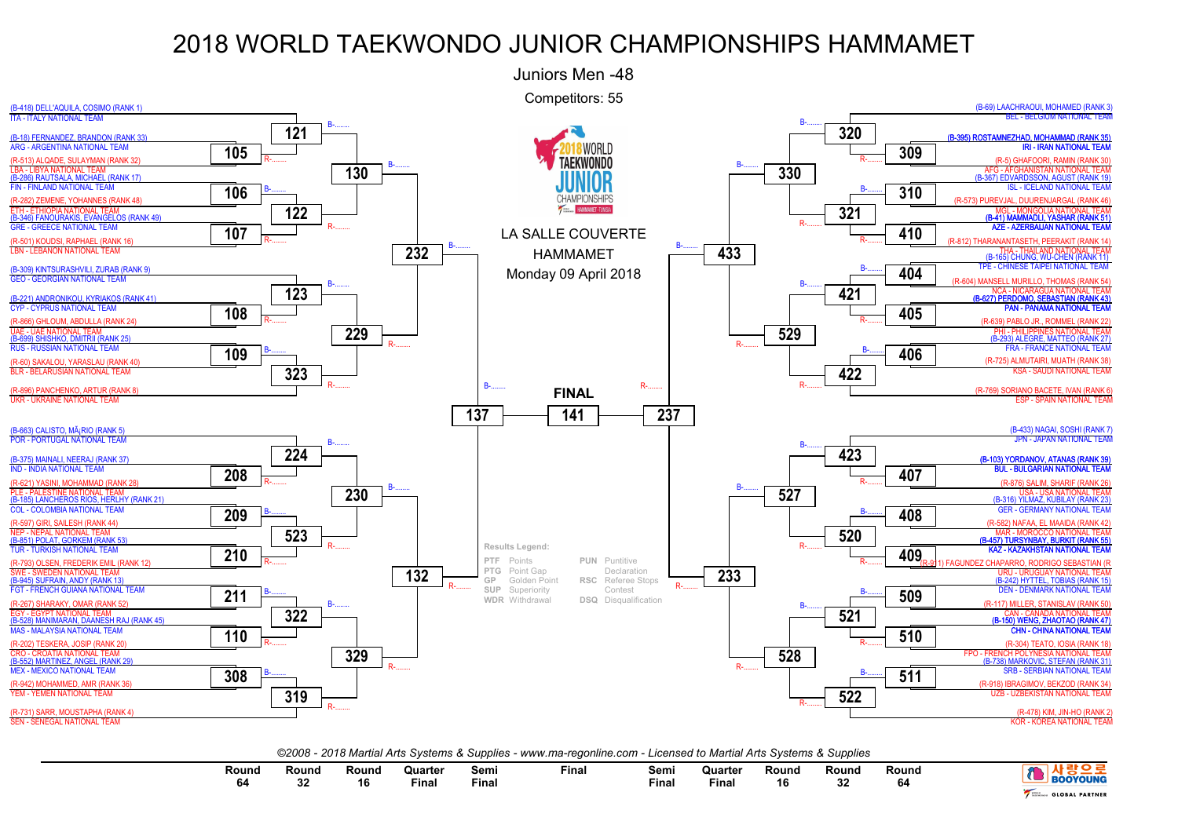

*©2008 - 2018 Martial Arts Systems & Supplies - www.ma-regonline.com - Licensed to Martial Arts Systems & Supplies*

| Round<br>. | Round      | Round | Quarter<br>the contract of the contract of the contract of the contract of the contract of the contract of the contract of | Semi  | Final | Semi  | Quarter<br>the contract of the contract of the contract of | Round     | Round        | Round |                       |
|------------|------------|-------|----------------------------------------------------------------------------------------------------------------------------|-------|-------|-------|------------------------------------------------------------|-----------|--------------|-------|-----------------------|
|            | - 22<br>υz | 16    | Final                                                                                                                      | Fina. |       | Fina. | Final                                                      | 4 C<br>10 | $\sim$<br>υz | 64    | <b>BOOYOUNG</b>       |
|            |            |       |                                                                                                                            |       |       |       |                                                            |           |              |       | <b>GLOBAL PARTNER</b> |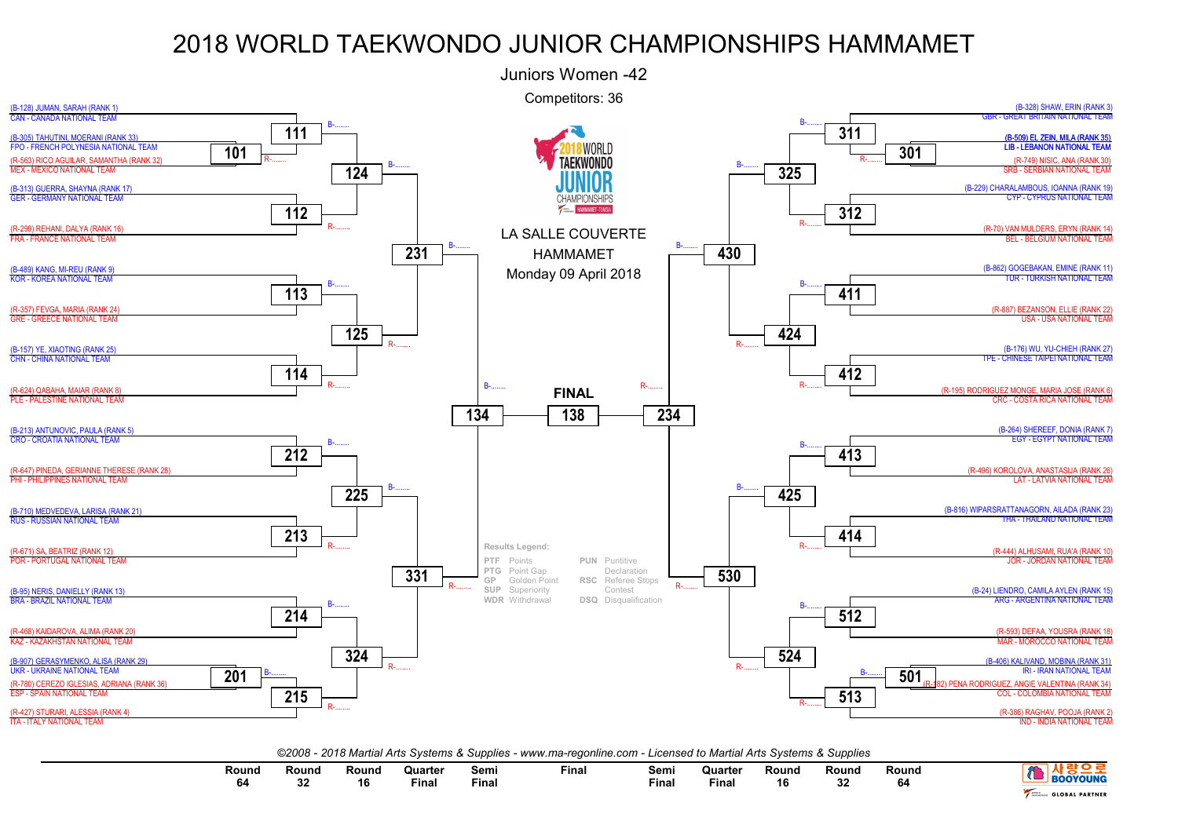

*©2008 - 2018 Martial Arts Systems & Supplies - www.ma-regonline.com - Licensed to Martial Arts Systems & Supplies*

| Round | Round<br>$\sim$<br>υz | Round<br>16 | Quarter<br>the contract of the contract of the contract of<br>Final | Semi<br>Final | Fina. | Semi<br>--<br>Final | Quarter<br><b>Final</b> | Round<br>40 | Round<br>nn.<br>v. | Round<br>O4 | <b>CALLANT</b>        |
|-------|-----------------------|-------------|---------------------------------------------------------------------|---------------|-------|---------------------|-------------------------|-------------|--------------------|-------------|-----------------------|
|       |                       |             |                                                                     |               |       |                     |                         |             |                    |             | <b>GLOBAL PARTNER</b> |